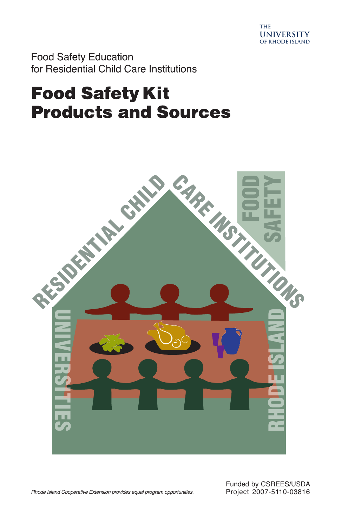

**Food Safety Education** for Residential Child Care Institutions

# **Food Safety Kit Products and Sources**



*Rhode Island Cooperative Extension provides equal program opportunities.* 

Funded by CSREES/USDA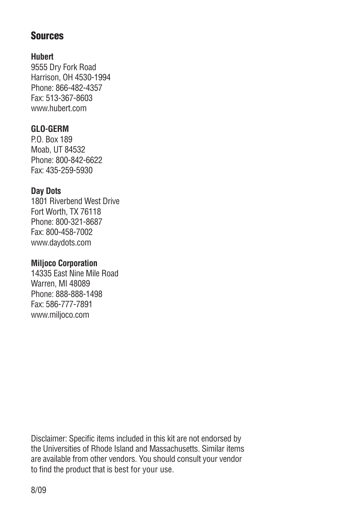## **Sources**

## **Hubert**

9555 Dry Fork Road Harrison, OH 4530-1994 Phone: 866-482-4357 Fax: 513-367-8603 www.hubert.com

## **GLO-GERM**

P.O. Box 189 Moab, UT 84532 Phone: 800-842-6622 Fax: 435-259-5930

## **Day Dots**

1801 Riverbend West Drive Fort Worth, TX 76118 Phone: 800-321-8687 Fax: 800-458-7002 www.daydots.com

## **Miljoco Corporation**

14335 East Nine Mile Road Warren, MI 48089 Phone: 888-888-1498 Fax: 586-777-7891 www.miljoco.com

Disclaimer: Specific items included in this kit are not endorsed by the Universities of Rhode Island and Massachusetts. Similar items are available from other vendors. You should consult your vendor to find the product that is best for your use.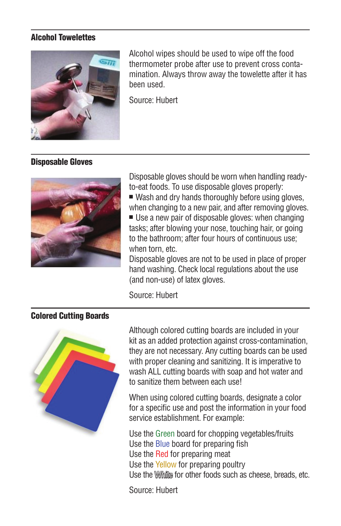#### Alcohol Towelettes



Alcohol wipes should be used to wipe off the food thermometer probe after use to prevent cross contamination. Always throw away the towelette after it has been used.

Source: Hubert

## Disposable Gloves



Disposable gloves should be worn when handling readyto-eat foods. To use disposable gloves properly:

 $\blacksquare$  Wash and dry hands thoroughly before using gloves, when changing to a new pair, and after removing gloves.

 $\blacksquare$  Use a new pair of disposable gloves: when changing tasks; after blowing your nose, touching hair, or going to the bathroom; after four hours of continuous use; when torn, etc.

Disposable gloves are not to be used in place of proper hand washing. Check local regulations about the use (and non-use) of latex gloves.

Source: Hubert

## Colored Cutting Boards



Although colored cutting boards are included in your kit as an added protection against cross-contamination, they are not necessary. Any cutting boards can be used with proper cleaning and sanitizing. It is imperative to wash ALL cutting boards with soap and hot water and to sanitize them between each use!

When using colored cutting boards, designate a color for a specific use and post the information in your food service establishment. For example:

Use the Green board for chopping vegetables/fruits Use the Blue board for preparing fish Use the Red for preparing meat Use the Yellow for preparing poultry Use the Willing for other foods such as cheese, breads, etc.

Source: Hubert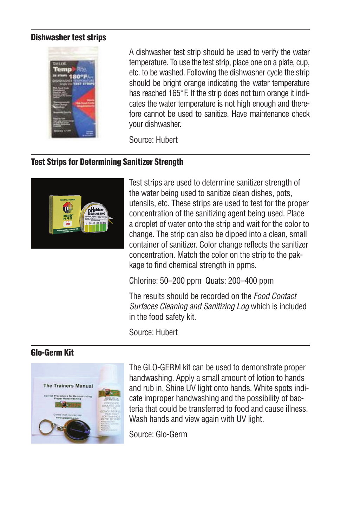#### Dishwasher test strips



A dishwasher test strip should be used to verify the water temperature. To use the test strip, place one on a plate, cup, etc. to be washed. Following the dishwasher cycle the strip should be bright orange indicating the water temperature has reached 165°F. If the strip does not turn orange it indicates the water temperature is not high enough and therefore cannot be used to sanitize. Have maintenance check your dishwasher.

Source: Hubert

### Test Strips for Determining Sanitizer Strength



Test strips are used to determine sanitizer strength of the water being used to sanitize clean dishes, pots, utensils, etc. These strips are used to test for the proper concentration of the sanitizing agent being used. Place a droplet of water onto the strip and wait for the color to change. The strip can also be dipped into a clean, small container of sanitizer. Color change reflects the sanitizer concentration. Match the color on the strip to the pakkage to find chemical strength in ppms.

Chlorine: 50–200 ppm Quats: 200–400 ppm

The results should be recorded on the *Food Contact Surfaces Cleaning and Sanitizing Log* which is included in the food safety kit.

Source: Hubert

#### Glo-Germ Kit



The GLO-GERM kit can be used to demonstrate proper handwashing. Apply a small amount of lotion to hands and rub in. Shine UV light onto hands. White spots indicate improper handwashing and the possibility of bacteria that could be transferred to food and cause illness. Wash hands and view again with UV light.

Source: Glo-Germ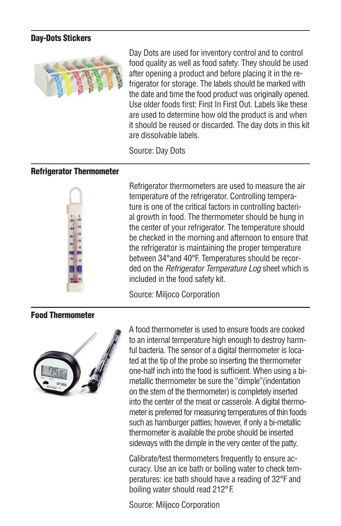#### Day-Dots Stickers



Day Dots are used for inventory control and to control food quality as well as food safety. They should be used after opening a product and before placing it in the refrigerator for storage. The labels should be marked with the date and time the food product was originally opened. Use older foods first: First In First Out. Labels like these are used to determine how old the product is and when it should be reused or discarded. The day dots in this kit are dissolvable labels.

Source: Day Dots

#### Refrigerator Thermometer



Refrigerator thermometers are used to measure the air temperature of the refrigerator. Controlling temperature is one of the critical factors in controlling bacterial growth in food. The thermometer should be hung in the center of your refrigerator. The temperature should be checked in the morning and afternoon to ensure that the refrigerator is maintaining the proper temperature between 34°and 40°F. Temperatures should be recorded on the *Refrigerator Temperature Log* sheet which is included in the food safety kit.

Source: Miljoco Corporation

## Food Thermometer



A food thermometer is used to ensure foods are cooked to an internal temperature high enough to destroy harmful bacteria. The sensor of a digital thermometer is located at the tip of the probe so inserting the thermometer one-half inch into the food is sufficient. When using a bimetallic thermometer be sure the "dimple"(indentation on the stem of the thermometer) is completely inserted into the center of the meat or casserole. A digital thermometer is preferred for measuring temperatures of thin foods such as hamburger patties; however, if only a bi-metallic thermometer is available the probe should be inserted sideways with the dimple in the very center of the patty.

Calibrate/test thermometers frequently to ensure accuracy. Use an ice bath or boiling water to check temperatures: ice bath should have a reading of 32°F and boiling water should read 212°F.

Source: Miljoco Corporation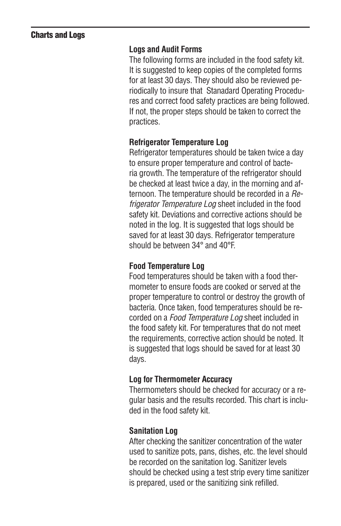## Charts and Logs

#### **Logs and Audit Forms**

The following forms are included in the food safety kit. It is suggested to keep copies of the completed forms for at least 30 days. They should also be reviewed periodically to insure that Stanadard Operating Procedures and correct food safety practices are being followed. If not, the proper steps should be taken to correct the practices.

#### **Refrigerator Temperature Log**

Refrigerator temperatures should be taken twice a day to ensure proper temperature and control of bacteria growth. The temperature of the refrigerator should be checked at least twice a day, in the morning and afternoon. The temperature should be recorded in a *Refrigerator Temperature Log* sheet included in the food safety kit. Deviations and corrective actions should be noted in the log. It is suggested that logs should be saved for at least 30 days. Refrigerator temperature should be between 34° and 40°F.

#### **Food Temperature Log**

Food temperatures should be taken with a food thermometer to ensure foods are cooked or served at the proper temperature to control or destroy the growth of bacteria. Once taken, food temperatures should be recorded on a *Food Temperature Log* sheet included in the food safety kit. For temperatures that do not meet the requirements, corrective action should be noted. It is suggested that logs should be saved for at least 30 days.

#### **Log for Thermometer Accuracy**

Thermometers should be checked for accuracy or a regular basis and the results recorded. This chart is included in the food safety kit.

#### **Sanitation Log**

After checking the sanitizer concentration of the water used to sanitize pots, pans, dishes, etc. the level should be recorded on the sanitation log. Sanitizer levels should be checked using a test strip every time sanitizer is prepared, used or the sanitizing sink refilled.